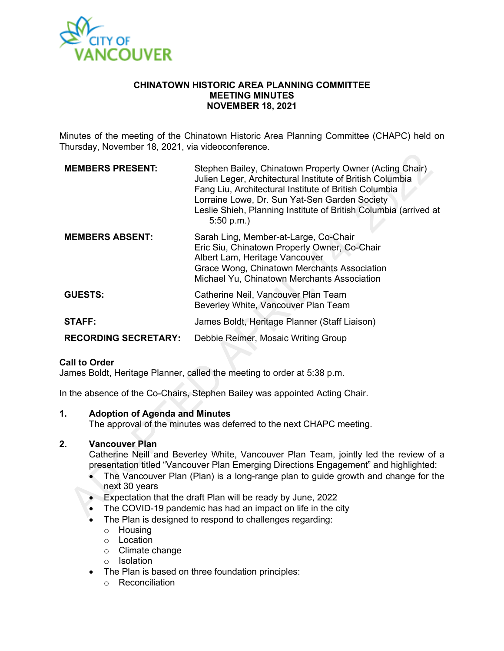

#### **CHINATOWN HISTORIC AREA PLANNING COMMITTEE MEETING MINUTES NOVEMBER 18, 2021**

Minutes of the meeting of the Chinatown Historic Area Planning Committee (CHAPC) held on Thursday, November 18, 2021, via videoconference.

| <b>MEMBERS PRESENT:</b>     | Stephen Bailey, Chinatown Property Owner (Acting Chair)<br>Julien Leger, Architectural Institute of British Columbia<br>Fang Liu, Architectural Institute of British Columbia<br>Lorraine Lowe, Dr. Sun Yat-Sen Garden Society<br>Leslie Shieh, Planning Institute of British Columbia (arrived at<br>5:50 p.m. |
|-----------------------------|-----------------------------------------------------------------------------------------------------------------------------------------------------------------------------------------------------------------------------------------------------------------------------------------------------------------|
| <b>MEMBERS ABSENT:</b>      | Sarah Ling, Member-at-Large, Co-Chair<br>Eric Siu, Chinatown Property Owner, Co-Chair<br>Albert Lam, Heritage Vancouver<br>Grace Wong, Chinatown Merchants Association<br>Michael Yu, Chinatown Merchants Association                                                                                           |
| <b>GUESTS:</b>              | Catherine Neil, Vancouver Plan Team<br>Beverley White, Vancouver Plan Team                                                                                                                                                                                                                                      |
| <b>STAFF:</b>               | James Boldt, Heritage Planner (Staff Liaison)                                                                                                                                                                                                                                                                   |
| <b>RECORDING SECRETARY:</b> | Debbie Reimer, Mosaic Writing Group                                                                                                                                                                                                                                                                             |

#### **Call to Order**

James Boldt, Heritage Planner, called the meeting to order at 5:38 p.m.

In the absence of the Co-Chairs, Stephen Bailey was appointed Acting Chair.

#### **1. Adoption of Agenda and Minutes**

The approval of the minutes was deferred to the next CHAPC meeting.

### **2. Vancouver Plan**

Catherine Neill and Beverley White, Vancouver Plan Team, jointly led the review of a presentation titled "Vancouver Plan Emerging Directions Engagement" and highlighted:

- The Vancouver Plan (Plan) is a long-range plan to guide growth and change for the next 30 years
- Expectation that the draft Plan will be ready by June, 2022
- The COVID-19 pandemic has had an impact on life in the city
- The Plan is designed to respond to challenges regarding:
	- o Housing
	- o Location
	- o Climate change
	- o Isolation
- The Plan is based on three foundation principles:
	- o Reconciliation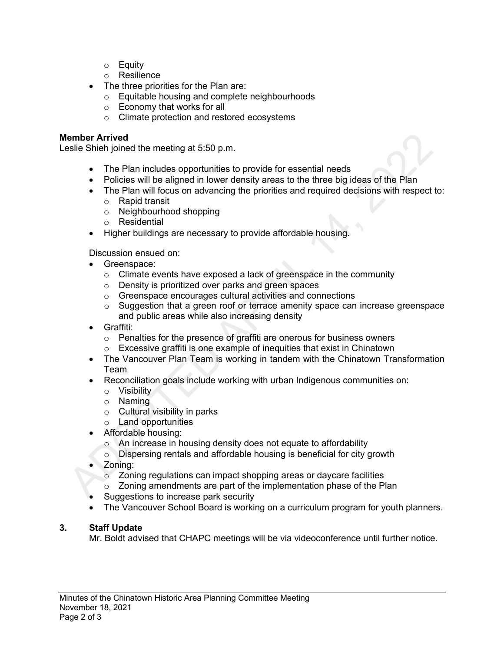- o Equity
- o Resilience
- The three priorities for the Plan are:
	- o Equitable housing and complete neighbourhoods
	- o Economy that works for all
	- o Climate protection and restored ecosystems

## **Member Arrived**

Leslie Shieh joined the meeting at 5:50 p.m.

- The Plan includes opportunities to provide for essential needs
- Policies will be aligned in lower density areas to the three big ideas of the Plan
- The Plan will focus on advancing the priorities and required decisions with respect to:
	- o Rapid transit
	- o Neighbourhood shopping
	- o Residential
- Higher buildings are necessary to provide affordable housing.

Discussion ensued on:

- Greenspace:
	- o Climate events have exposed a lack of greenspace in the community
	- o Density is prioritized over parks and green spaces
	- o Greenspace encourages cultural activities and connections
	- $\circ$  Suggestion that a green roof or terrace amenity space can increase greenspace and public areas while also increasing density
- Graffiti:
	- o Penalties for the presence of graffiti are onerous for business owners
	- o Excessive graffiti is one example of inequities that exist in Chinatown
- The Vancouver Plan Team is working in tandem with the Chinatown Transformation Team
- Reconciliation goals include working with urban Indigenous communities on:
	- o Visibility
	- o Naming
	- o Cultural visibility in parks
	- o Land opportunities
- Affordable housing:
	- o An increase in housing density does not equate to affordability
	- o Dispersing rentals and affordable housing is beneficial for city growth
- Zoning:
	- o Zoning regulations can impact shopping areas or daycare facilities
	- $\circ$  Zoning amendments are part of the implementation phase of the Plan
- Suggestions to increase park security
- The Vancouver School Board is working on a curriculum program for youth planners.

# **3. Staff Update**

Mr. Boldt advised that CHAPC meetings will be via videoconference until further notice.